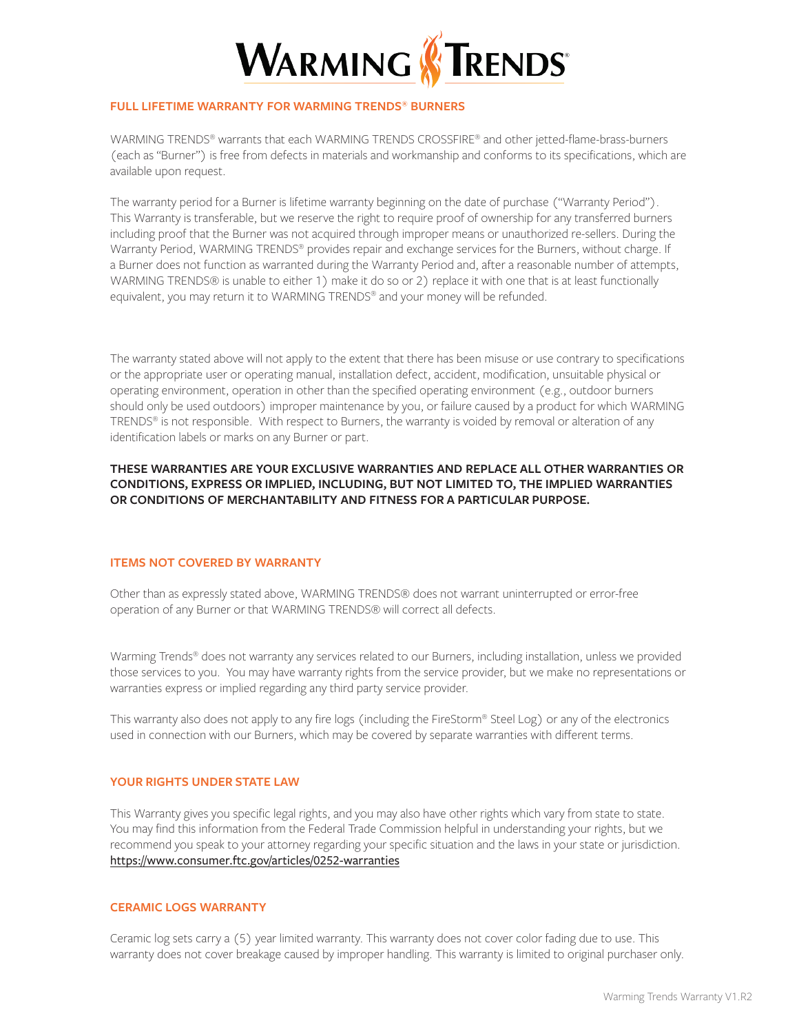

### **FULL LIFETIME WARRANTY FOR WARMING TRENDS® BURNERS**

WARMING TRENDS® warrants that each WARMING TRENDS CROSSFIRE® and other jetted-flame-brass-burners (each as "Burner") is free from defects in materials and workmanship and conforms to its specifications, which are available upon request.

The warranty period for a Burner is lifetime warranty beginning on the date of purchase ("Warranty Period"). This Warranty is transferable, but we reserve the right to require proof of ownership for any transferred burners including proof that the Burner was not acquired through improper means or unauthorized re-sellers. During the Warranty Period, WARMING TRENDS® provides repair and exchange services for the Burners, without charge. If a Burner does not function as warranted during the Warranty Period and, after a reasonable number of attempts, WARMING TRENDS® is unable to either 1) make it do so or 2) replace it with one that is at least functionally equivalent, you may return it to WARMING TRENDS<sup>®</sup> and your money will be refunded.

The warranty stated above will not apply to the extent that there has been misuse or use contrary to specifications or the appropriate user or operating manual, installation defect, accident, modification, unsuitable physical or operating environment, operation in other than the specified operating environment (e.g., outdoor burners should only be used outdoors) improper maintenance by you, or failure caused by a product for which WARMING TRENDS® is not responsible. With respect to Burners, the warranty is voided by removal or alteration of any identification labels or marks on any Burner or part.

# **THESE WARRANTIES ARE YOUR EXCLUSIVE WARRANTIES AND REPLACE ALL OTHER WARRANTIES OR CONDITIONS, EXPRESS OR IMPLIED, INCLUDING, BUT NOT LIMITED TO, THE IMPLIED WARRANTIES OR CONDITIONS OF MERCHANTABILITY AND FITNESS FOR A PARTICULAR PURPOSE.**

#### **ITEMS NOT COVERED BY WARRANTY**

Other than as expressly stated above, WARMING TRENDS® does not warrant uninterrupted or error-free operation of any Burner or that WARMING TRENDS® will correct all defects.

Warming Trends<sup>®</sup> does not warranty any services related to our Burners, including installation, unless we provided those services to you. You may have warranty rights from the service provider, but we make no representations or warranties express or implied regarding any third party service provider.

This warranty also does not apply to any fire logs (including the FireStorm® Steel Log) or any of the electronics used in connection with our Burners, which may be covered by separate warranties with different terms.

#### **YOUR RIGHTS UNDER STATE LAW**

This Warranty gives you specific legal rights, and you may also have other rights which vary from state to state. You may find this information from the Federal Trade Commission helpful in understanding your rights, but we recommend you speak to your attorney regarding your specific situation and the laws in your state or jurisdiction. https://www.consumer.ftc.gov/articles/0252-warranties

#### **CERAMIC LOGS WARRANTY**

Ceramic log sets carry a (5) year limited warranty. This warranty does not cover color fading due to use. This warranty does not cover breakage caused by improper handling. This warranty is limited to original purchaser only.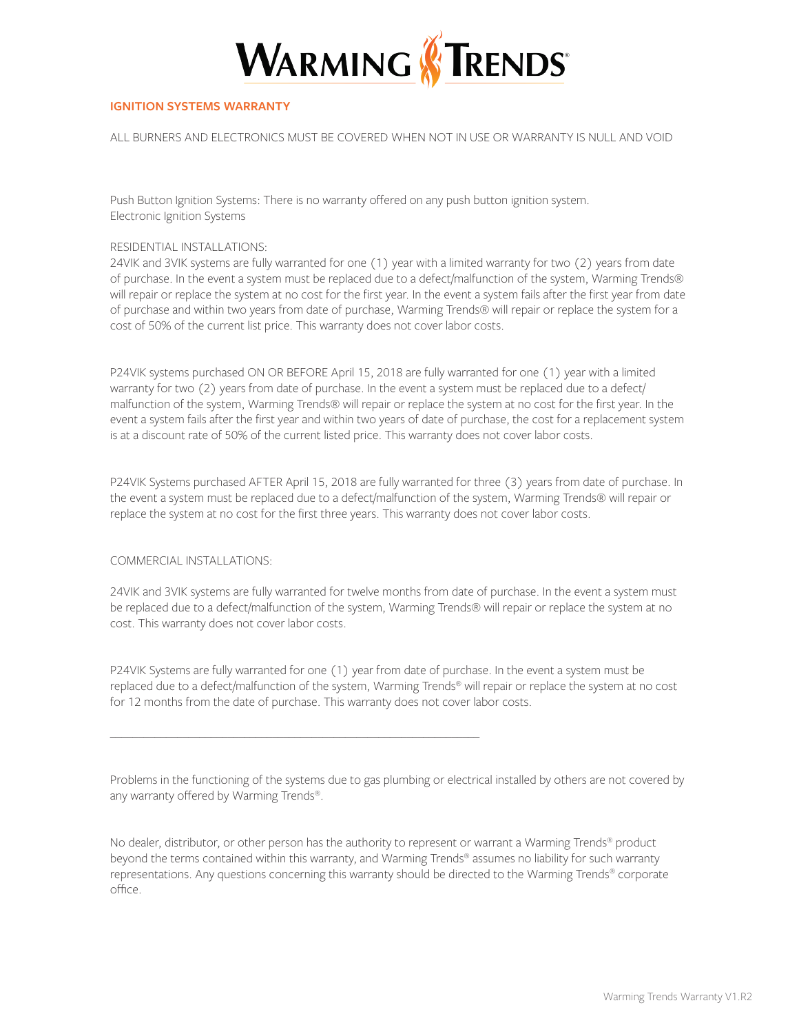

## **IGNITION SYSTEMS WARRANTY**

ALL BURNERS AND ELECTRONICS MUST BE COVERED WHEN NOT IN USE OR WARRANTY IS NULL AND VOID

Push Button Ignition Systems: There is no warranty offered on any push button ignition system. Electronic Ignition Systems

#### RESIDENTIAL INSTALLATIONS:

24VIK and 3VIK systems are fully warranted for one (1) year with a limited warranty for two (2) years from date of purchase. In the event a system must be replaced due to a defect/malfunction of the system, Warming Trends® will repair or replace the system at no cost for the first year. In the event a system fails after the first year from date of purchase and within two years from date of purchase, Warming Trends® will repair or replace the system for a cost of 50% of the current list price. This warranty does not cover labor costs.

P24VIK systems purchased ON OR BEFORE April 15, 2018 are fully warranted for one (1) year with a limited warranty for two (2) years from date of purchase. In the event a system must be replaced due to a defect/ malfunction of the system, Warming Trends® will repair or replace the system at no cost for the first year. In the event a system fails after the first year and within two years of date of purchase, the cost for a replacement system is at a discount rate of 50% of the current listed price. This warranty does not cover labor costs.

P24VIK Systems purchased AFTER April 15, 2018 are fully warranted for three (3) years from date of purchase. In the event a system must be replaced due to a defect/malfunction of the system, Warming Trends® will repair or replace the system at no cost for the first three years. This warranty does not cover labor costs.

#### COMMERCIAL INSTALLATIONS:

24VIK and 3VIK systems are fully warranted for twelve months from date of purchase. In the event a system must be replaced due to a defect/malfunction of the system, Warming Trends® will repair or replace the system at no cost. This warranty does not cover labor costs.

P24VIK Systems are fully warranted for one (1) year from date of purchase. In the event a system must be replaced due to a defect/malfunction of the system, Warming Trends® will repair or replace the system at no cost for 12 months from the date of purchase. This warranty does not cover labor costs.

\_\_\_\_\_\_\_\_\_\_\_\_\_\_\_\_\_\_\_\_\_\_\_\_\_\_\_\_\_\_\_\_\_\_\_\_\_\_\_\_\_\_\_\_\_\_\_\_\_\_\_\_\_\_\_\_\_\_\_\_\_\_\_\_\_\_

Problems in the functioning of the systems due to gas plumbing or electrical installed by others are not covered by any warranty offered by Warming Trends®.

No dealer, distributor, or other person has the authority to represent or warrant a Warming Trends® product beyond the terms contained within this warranty, and Warming Trends® assumes no liability for such warranty representations. Any questions concerning this warranty should be directed to the Warming Trends® corporate office.